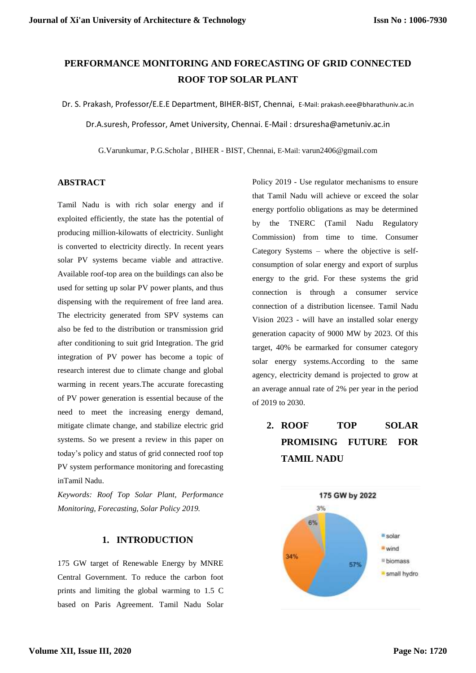## **PERFORMANCE MONITORING AND FORECASTING OF GRID CONNECTED ROOF TOP SOLAR PLANT**

Dr. S. Prakash, Professor/E.E.E Department, BIHER-BIST, Chennai, E-Mail: prakash.eee@bharathuniv.ac.in

Dr.A.suresh, Professor, Amet University, Chennai. E-Mail : drsuresha@ametuniv.ac.in

G.Varunkumar, P.G.Scholar , BIHER - BIST, Chennai, E-Mail: varun2406@gmail.com

#### **ABSTRACT**

Tamil Nadu is with rich solar energy and if exploited efficiently, the state has the potential of producing million-kilowatts of electricity. Sunlight is converted to electricity directly. In recent years solar PV systems became viable and attractive. Available roof-top area on the buildings can also be used for setting up solar PV power plants, and thus dispensing with the requirement of free land area. The electricity generated from SPV systems can also be fed to the distribution or transmission grid after conditioning to suit grid Integration. The grid integration of PV power has become a topic of research interest due to climate change and global warming in recent years.The accurate forecasting of PV power generation is essential because of the need to meet the increasing energy demand, mitigate climate change, and stabilize electric grid systems. So we present a review in this paper on today's policy and status of grid connected roof top PV system performance monitoring and forecasting inTamil Nadu.

*Keywords: Roof Top Solar Plant, Performance Monitoring, Forecasting, Solar Policy 2019.*

### **1. INTRODUCTION**

175 GW target of Renewable Energy by MNRE Central Government. To reduce the carbon foot prints and limiting the global warming to 1.5 C based on Paris Agreement. Tamil Nadu Solar Policy 2019 - Use regulator mechanisms to ensure that Tamil Nadu will achieve or exceed the solar energy portfolio obligations as may be determined by the TNERC (Tamil Nadu Regulatory Commission) from time to time. Consumer Category Systems – where the objective is selfconsumption of solar energy and export of surplus energy to the grid. For these systems the grid connection is through a consumer service connection of a distribution licensee. Tamil Nadu Vision 2023 - will have an installed solar energy generation capacity of 9000 MW by 2023. Of this target, 40% be earmarked for consumer category solar energy systems.According to the same agency, electricity demand is projected to grow at an average annual rate of 2% per year in the period of 2019 to 2030.

# **2. ROOF TOP SOLAR PROMISING FUTURE FOR TAMIL NADU**

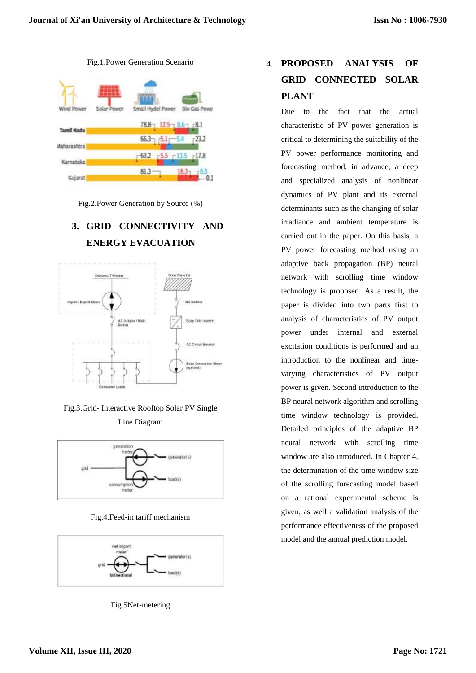

Fig.2.Power Generation by Source (%)

# **3. GRID CONNECTIVITY AND ENERGY EVACUATION**







Fig.4.Feed-in tariff mechanism



Fig.5Net-metering

# 4. **PROPOSED ANALYSIS OF GRID CONNECTED SOLAR PLANT**

Due to the fact that the actual characteristic of PV power generation is critical to determining the suitability of the PV power performance monitoring and forecasting method, in advance, a deep and specialized analysis of nonlinear dynamics of PV plant and its external determinants such as the changing of solar irradiance and ambient temperature is carried out in the paper. On this basis, a PV power forecasting method using an adaptive back propagation (BP) neural network with scrolling time window technology is proposed. As a result, the paper is divided into two parts first to analysis of characteristics of PV output power under internal and external excitation conditions is performed and an introduction to the nonlinear and timevarying characteristics of PV output power is given. Second introduction to the BP neural network algorithm and scrolling time window technology is provided. Detailed principles of the adaptive BP neural network with scrolling time window are also introduced. In Chapter 4, the determination of the time window size of the scrolling forecasting model based on a rational experimental scheme is given, as well a validation analysis of the performance effectiveness of the proposed model and the annual prediction model.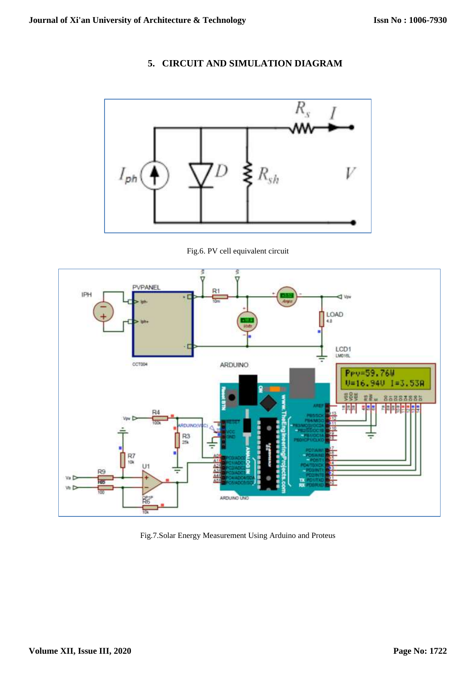### **5. CIRCUIT AND SIMULATION DIAGRAM**



Fig.6. PV cell equivalent circuit



Fig.7.Solar Energy Measurement Using Arduino and Proteus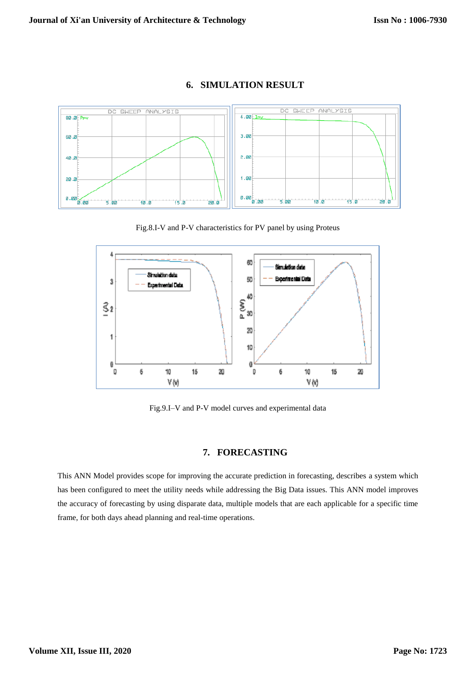

### **6. SIMULATION RESULT**

Fig.8.I-V and P-V characteristics for PV panel by using Proteus



Fig.9.I–V and P-V model curves and experimental data

### **7. FORECASTING**

This ANN Model provides scope for improving the accurate prediction in forecasting, describes a system which has been configured to meet the utility needs while addressing the Big Data issues. This ANN model improves the accuracy of forecasting by using disparate data, multiple models that are each applicable for a specific time frame, for both days ahead planning and real-time operations.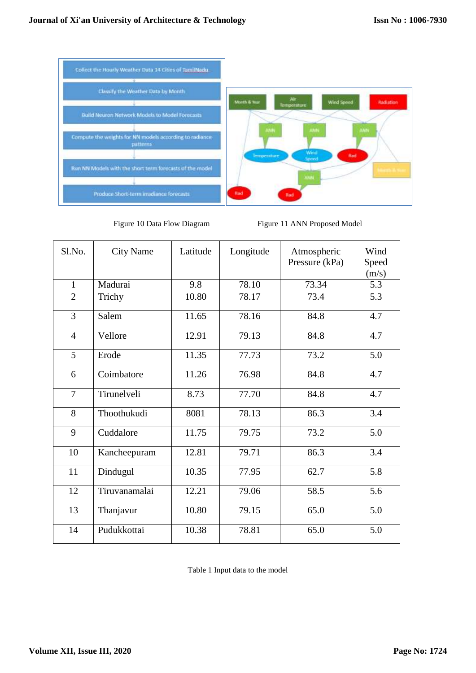

Figure 10 Data Flow Diagram Figure 11 ANN Proposed Model

| Sl.No.         | <b>City Name</b> | Latitude | Longitude | Atmospheric<br>Pressure (kPa) | Wind<br>Speed<br>(m/s) |
|----------------|------------------|----------|-----------|-------------------------------|------------------------|
| $\mathbf{1}$   | Madurai          | 9.8      | 78.10     | 73.34                         | 5.3                    |
| $\overline{2}$ | Trichy           | 10.80    | 78.17     | 73.4                          | 5.3                    |
| 3              | Salem            | 11.65    | 78.16     | 84.8                          | 4.7                    |
| $\overline{4}$ | Vellore          | 12.91    | 79.13     | 84.8                          | 4.7                    |
| 5              | Erode            | 11.35    | 77.73     | 73.2                          | 5.0                    |
| 6              | Coimbatore       | 11.26    | 76.98     | 84.8                          | 4.7                    |
| $\overline{7}$ | Tirunelveli      | 8.73     | 77.70     | 84.8                          | 4.7                    |
| 8              | Thoothukudi      | 8081     | 78.13     | 86.3                          | 3.4                    |
| 9              | Cuddalore        | 11.75    | 79.75     | 73.2                          | 5.0                    |
| 10             | Kancheepuram     | 12.81    | 79.71     | 86.3                          | 3.4                    |
| 11             | Dindugul         | 10.35    | 77.95     | 62.7                          | 5.8                    |
| 12             | Tiruvanamalai    | 12.21    | 79.06     | 58.5                          | 5.6                    |
| 13             | Thanjavur        | 10.80    | 79.15     | 65.0                          | 5.0                    |
| 14             | Pudukkottai      | 10.38    | 78.81     | 65.0                          | 5.0                    |

Table 1 Input data to the model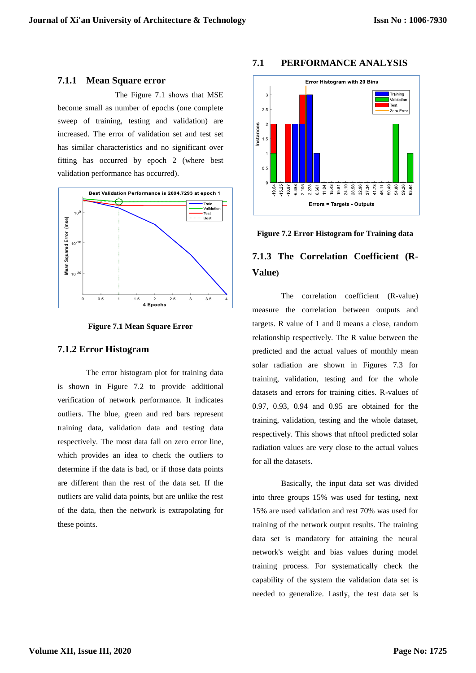#### **7.1.1 Mean Square error**

The Figure 7.1 shows that MSE become small as number of epochs (one complete sweep of training, testing and validation) are increased. The error of validation set and test set has similar characteristics and no significant over fitting has occurred by epoch 2 (where best validation performance has occurred).



**Figure 7.1 Mean Square Error**

#### **7.1.2 Error Histogram**

The error histogram plot for training data is shown in Figure 7.2 to provide additional verification of network performance. It indicates outliers. The blue, green and red bars represent training data, validation data and testing data respectively. The most data fall on zero error line, which provides an idea to check the outliers to determine if the data is bad, or if those data points are different than the rest of the data set. If the outliers are valid data points, but are unlike the rest of the data, then the network is extrapolating for these points.

## **7.1 PERFORMANCE ANALYSIS**



**Figure 7.2 Error Histogram for Training data**

## **7.1.3 The Correlation Coefficient (R-Value)**

The correlation coefficient (R-value) measure the correlation between outputs and targets. R value of 1 and 0 means a close, random relationship respectively. The R value between the predicted and the actual values of monthly mean solar radiation are shown in Figures 7.3 for training, validation, testing and for the whole datasets and errors for training cities. R-values of 0.97, 0.93, 0.94 and 0.95 are obtained for the training, validation, testing and the whole dataset, respectively. This shows that nftool predicted solar radiation values are very close to the actual values for all the datasets.

Basically, the input data set was divided into three groups 15% was used for testing, next 15% are used validation and rest 70% was used for training of the network output results. The training data set is mandatory for attaining the neural network's weight and bias values during model training process. For systematically check the capability of the system the validation data set is needed to generalize. Lastly, the test data set is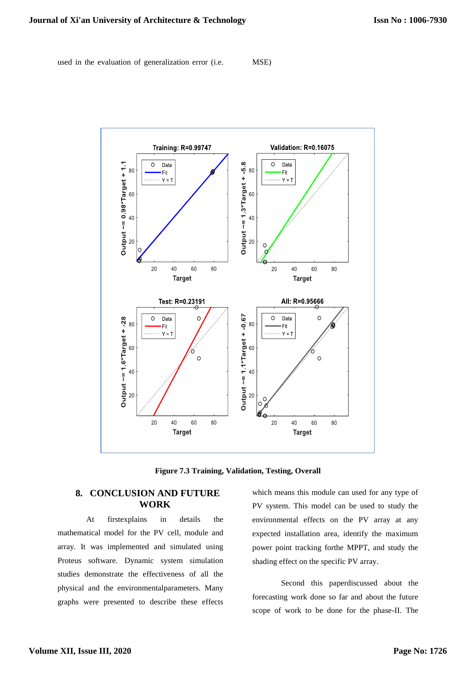used in the evaluation of generalization error (i.e. MSE)



**Figure 7.3 Training, Validation, Testing, Overall** 

### **8. CONCLUSION AND FUTURE WORK**

At firstexplains in details the mathematical model for the PV cell, module and array. It was implemented and simulated using Proteus software. Dynamic system simulation studies demonstrate the effectiveness of all the physical and the environmentalparameters. Many graphs were presented to describe these effects which means this module can used for any type of PV system. This model can be used to study the environmental effects on the PV array at any expected installation area, identify the maximum power point tracking forthe MPPT, and study the shading effect on the specific PV array.

Second this paperdiscussed about the forecasting work done so far and about the future scope of work to be done for the phase-II. The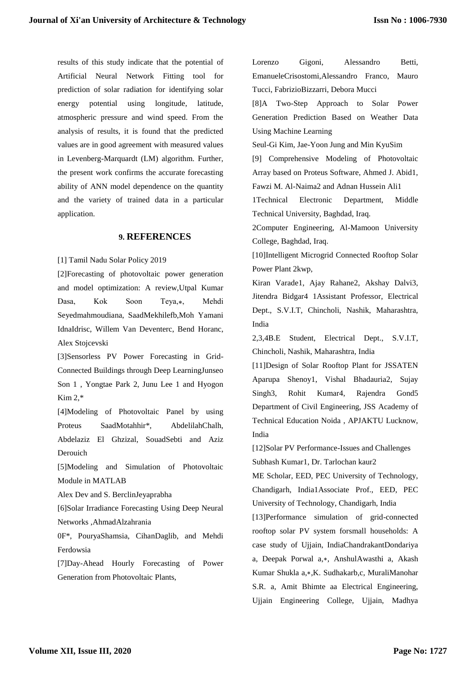results of this study indicate that the potential of Artificial Neural Network Fitting tool for prediction of solar radiation for identifying solar energy potential using longitude, latitude, atmospheric pressure and wind speed. From the analysis of results, it is found that the predicted values are in good agreement with measured values in Levenberg-Marquardt (LM) algorithm. Further, the present work confirms the accurate forecasting ability of ANN model dependence on the quantity and the variety of trained data in a particular application.

### **9. REFERENCES**

[1] Tamil Nadu Solar Policy 2019

[2]Forecasting of photovoltaic power generation and model optimization: A review,Utpal Kumar Dasa, Kok Soon Teya,\*, Mehdi Seyedmahmoudiana, SaadMekhilefb,Moh Yamani IdnaIdrisc, Willem Van Deventerc, Bend Horanc, Alex Stojcevski

[3]Sensorless PV Power Forecasting in Grid-Connected Buildings through Deep LearningJunseo Son 1 , Yongtae Park 2, Junu Lee 1 and Hyogon Kim 2,\*

[4]Modeling of Photovoltaic Panel by using Proteus SaadMotahhir\*, AbdelilahChalh, Abdelaziz El Ghzizal, SouadSebti and Aziz Derouich

[5]Modeling and Simulation of Photovoltaic Module in MATLAB

Alex Dev and S. BerclinJeyaprabha

[6]Solar Irradiance Forecasting Using Deep Neural Networks ,AhmadAlzahrania

0F\*, PouryaShamsia, CihanDaglib, and Mehdi Ferdowsia

[7]Day-Ahead Hourly Forecasting of Power Generation from Photovoltaic Plants,

Lorenzo Gigoni, Alessandro Betti, EmanueleCrisostomi,Alessandro Franco, Mauro Tucci, FabrizioBizzarri, Debora Mucci

[8]A Two-Step Approach to Solar Power Generation Prediction Based on Weather Data Using Machine Learning

Seul-Gi Kim, Jae-Yoon Jung and Min KyuSim

[9] Comprehensive Modeling of Photovoltaic Array based on Proteus Software, Ahmed J. Abid1, Fawzi M. Al-Naima2 and Adnan Hussein Ali1

1Technical Electronic Department, Middle Technical University, Baghdad, Iraq.

2Computer Engineering, Al-Mamoon University College, Baghdad, Iraq.

[10]Intelligent Microgrid Connected Rooftop Solar Power Plant 2kwp,

Kiran Varade1, Ajay Rahane2, Akshay Dalvi3, Jitendra Bidgar4 1Assistant Professor, Electrical Dept., S.V.I.T, Chincholi, Nashik, Maharashtra, India

2,3,4B.E Student, Electrical Dept., S.V.I.T, Chincholi, Nashik, Maharashtra, India

[11]Design of Solar Rooftop Plant for JSSATEN Aparupa Shenoy1, Vishal Bhadauria2, Sujay Singh3, Rohit Kumar4, Rajendra Gond5 Department of Civil Engineering, JSS Academy of Technical Education Noida , APJAKTU Lucknow, India

[12]Solar PV Performance-Issues and Challenges Subhash Kumar1, Dr. Tarlochan kaur2

ME Scholar, EED, PEC University of Technology, Chandigarh, India1Associate Prof., EED, PEC University of Technology, Chandigarh, India

[13]Performance simulation of grid-connected rooftop solar PV system forsmall households: A case study of Ujjain, IndiaChandrakantDondariya a, Deepak Porwal a,∗, AnshulAwasthi a, Akash Kumar Shukla a,∗,K. Sudhakarb,c, MuraliManohar S.R. a, Amit Bhimte aa Electrical Engineering, Ujjain Engineering College, Ujjain, Madhya